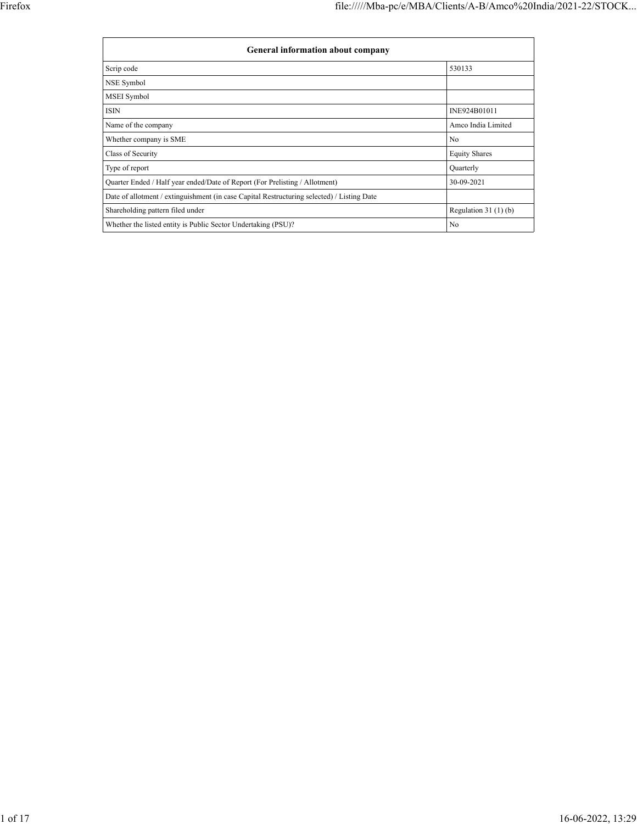| <b>General information about company</b>                                                   |                       |  |  |  |  |  |
|--------------------------------------------------------------------------------------------|-----------------------|--|--|--|--|--|
| Scrip code                                                                                 | 530133                |  |  |  |  |  |
| NSE Symbol                                                                                 |                       |  |  |  |  |  |
| MSEI Symbol                                                                                |                       |  |  |  |  |  |
| ISIN                                                                                       | INE924B01011          |  |  |  |  |  |
| Name of the company                                                                        | Amco India Limited    |  |  |  |  |  |
| Whether company is SME                                                                     | N <sub>0</sub>        |  |  |  |  |  |
| Class of Security                                                                          | <b>Equity Shares</b>  |  |  |  |  |  |
| Type of report                                                                             | Quarterly             |  |  |  |  |  |
| Quarter Ended / Half year ended/Date of Report (For Prelisting / Allotment)                | 30-09-2021            |  |  |  |  |  |
| Date of allotment / extinguishment (in case Capital Restructuring selected) / Listing Date |                       |  |  |  |  |  |
| Shareholding pattern filed under                                                           | Regulation $31(1)(b)$ |  |  |  |  |  |
| Whether the listed entity is Public Sector Undertaking (PSU)?                              | No                    |  |  |  |  |  |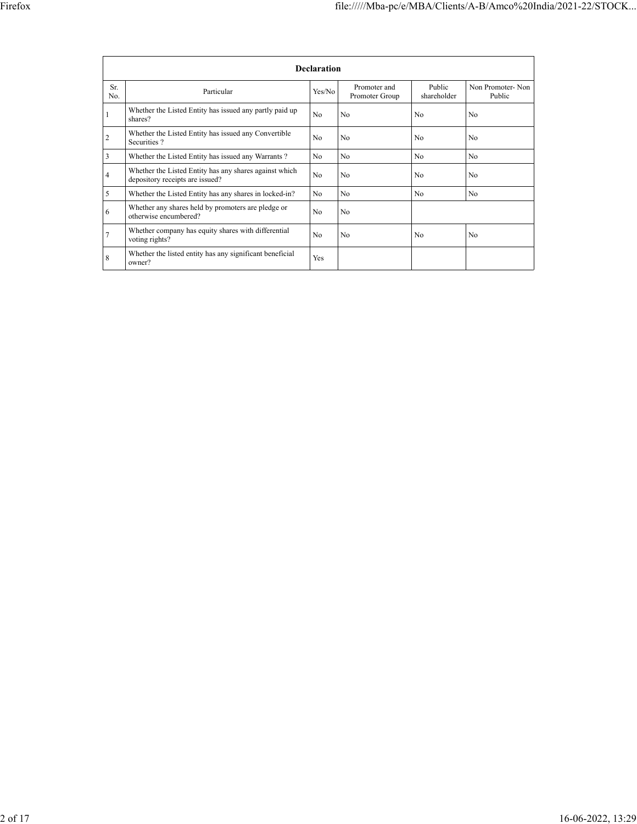|                | <b>Declaration</b>                                                                        |                |                                |                       |                            |  |  |  |  |
|----------------|-------------------------------------------------------------------------------------------|----------------|--------------------------------|-----------------------|----------------------------|--|--|--|--|
| Sr.<br>No.     | Particular                                                                                | Yes/No         | Promoter and<br>Promoter Group | Public<br>shareholder | Non Promoter-Non<br>Public |  |  |  |  |
|                | Whether the Listed Entity has issued any partly paid up<br>shares?                        | No             | N <sub>0</sub>                 | N <sub>0</sub>        | No                         |  |  |  |  |
| $\overline{2}$ | Whether the Listed Entity has issued any Convertible<br>Securities?                       | No             | No                             | N <sub>0</sub>        | No                         |  |  |  |  |
| 3              | Whether the Listed Entity has issued any Warrants?                                        | N <sub>0</sub> | N <sub>0</sub>                 | N <sub>0</sub>        | N <sub>0</sub>             |  |  |  |  |
| $\overline{4}$ | Whether the Listed Entity has any shares against which<br>depository receipts are issued? | No             | N <sub>0</sub>                 | N <sub>0</sub>        | N <sub>0</sub>             |  |  |  |  |
| 5              | Whether the Listed Entity has any shares in locked-in?                                    | N <sub>0</sub> | N <sub>o</sub>                 | N <sub>0</sub>        | N <sub>o</sub>             |  |  |  |  |
| 6              | Whether any shares held by promoters are pledge or<br>otherwise encumbered?               | No             | N <sub>0</sub>                 |                       |                            |  |  |  |  |
| 7              | Whether company has equity shares with differential<br>voting rights?                     | N <sub>0</sub> | N <sub>0</sub>                 | N <sub>0</sub>        | N <sub>0</sub>             |  |  |  |  |
| 8              | Whether the listed entity has any significant beneficial<br>owner?                        | Yes            |                                |                       |                            |  |  |  |  |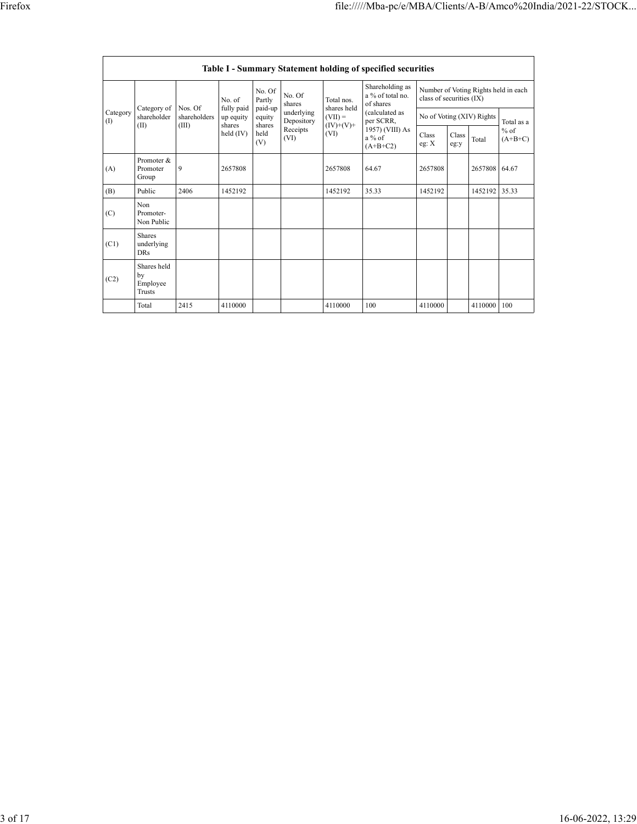|                 | <b>Table I - Summary Statement holding of specified securities</b> |                                  |                                   |                             |                                                                  |                           |                                                  |                                                                  |               |         |                     |
|-----------------|--------------------------------------------------------------------|----------------------------------|-----------------------------------|-----------------------------|------------------------------------------------------------------|---------------------------|--------------------------------------------------|------------------------------------------------------------------|---------------|---------|---------------------|
| Category<br>(1) |                                                                    |                                  | No. of                            | No. Of<br>Partly            | No. Of<br>shares<br>underlying<br>Depository<br>Receipts<br>(VI) | Total nos.<br>shares held | Shareholding as<br>a % of total no.<br>of shares | Number of Voting Rights held in each<br>class of securities (IX) |               |         |                     |
|                 | Category of<br>shareholder<br>(II)                                 | Nos. Of<br>shareholders<br>(III) | fully paid<br>up equity<br>shares | paid-up<br>equity<br>shares |                                                                  | $(VII) =$<br>$(IV)+(V)+$  | (calculated as<br>per SCRR,                      | No of Voting (XIV) Rights                                        |               |         | Total as a          |
|                 |                                                                    |                                  | $held$ (IV)                       | held<br>(V)                 |                                                                  | (VI)                      | 1957) (VIII) As<br>$a\%$ of<br>$(A+B+C2)$        | Class<br>eg: $X$                                                 | Class<br>eg:y | Total   | $%$ of<br>$(A+B+C)$ |
| (A)             | Promoter &<br>Promoter<br>Group                                    | 9                                | 2657808                           |                             |                                                                  | 2657808                   | 64.67                                            | 2657808                                                          |               | 2657808 | 64.67               |
| (B)             | Public                                                             | 2406                             | 1452192                           |                             |                                                                  | 1452192                   | 35.33                                            | 1452192                                                          |               | 1452192 | 35.33               |
| (C)             | Non<br>Promoter-<br>Non Public                                     |                                  |                                   |                             |                                                                  |                           |                                                  |                                                                  |               |         |                     |
| (C1)            | <b>Shares</b><br>underlying<br><b>DRs</b>                          |                                  |                                   |                             |                                                                  |                           |                                                  |                                                                  |               |         |                     |
| (C2)            | Shares held<br>by<br>Employee<br>Trusts                            |                                  |                                   |                             |                                                                  |                           |                                                  |                                                                  |               |         |                     |
|                 | Total                                                              | 2415                             | 4110000                           |                             |                                                                  | 4110000                   | 100                                              | 4110000                                                          |               | 4110000 | 100                 |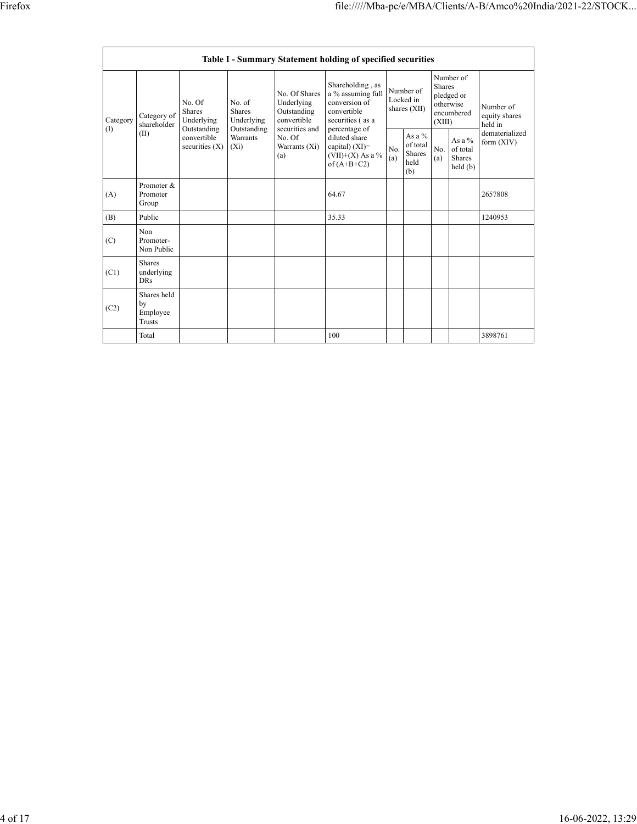|          | Table I - Summary Statement holding of specified securities |                                                                                         |                                                                             |                                                                                                               |                                                                                                                                                                                         |                                        |                                                      |                                                                               |                                                  |                                       |
|----------|-------------------------------------------------------------|-----------------------------------------------------------------------------------------|-----------------------------------------------------------------------------|---------------------------------------------------------------------------------------------------------------|-----------------------------------------------------------------------------------------------------------------------------------------------------------------------------------------|----------------------------------------|------------------------------------------------------|-------------------------------------------------------------------------------|--------------------------------------------------|---------------------------------------|
| Category | Category of<br>shareholder<br>(II)                          | No. Of<br><b>Shares</b><br>Underlying<br>Outstanding<br>convertible<br>securities $(X)$ | No. of<br><b>Shares</b><br>Underlying<br>Outstanding<br>Warrants<br>$(X_i)$ | No. Of Shares<br>Underlying<br>Outstanding<br>convertible<br>securities and<br>No. Of<br>Warrants (Xi)<br>(a) | Shareholding, as<br>a % assuming full<br>conversion of<br>convertible<br>securities (as a<br>percentage of<br>diluted share<br>capital) $(XI)$ =<br>$(VII)+(X)$ As a %<br>of $(A+B+C2)$ | Number of<br>Locked in<br>shares (XII) |                                                      | Number of<br><b>Shares</b><br>pledged or<br>otherwise<br>encumbered<br>(XIII) |                                                  | Number of<br>equity shares<br>held in |
| (I)      |                                                             |                                                                                         |                                                                             |                                                                                                               |                                                                                                                                                                                         | No.<br>(a)                             | As a $%$<br>of total<br><b>Shares</b><br>held<br>(b) | No.<br>(a)                                                                    | As a $%$<br>of total<br><b>Shares</b><br>held(b) | dematerialized<br>form $(XIV)$        |
| (A)      | Promoter &<br>Promoter<br>Group                             |                                                                                         |                                                                             |                                                                                                               | 64.67                                                                                                                                                                                   |                                        |                                                      |                                                                               |                                                  | 2657808                               |
| (B)      | Public                                                      |                                                                                         |                                                                             |                                                                                                               | 35.33                                                                                                                                                                                   |                                        |                                                      |                                                                               |                                                  | 1240953                               |
| (C)      | Non<br>Promoter-<br>Non Public                              |                                                                                         |                                                                             |                                                                                                               |                                                                                                                                                                                         |                                        |                                                      |                                                                               |                                                  |                                       |
| (C1)     | <b>Shares</b><br>underlying<br><b>DRs</b>                   |                                                                                         |                                                                             |                                                                                                               |                                                                                                                                                                                         |                                        |                                                      |                                                                               |                                                  |                                       |
| (C2)     | Shares held<br>by<br>Employee<br><b>Trusts</b>              |                                                                                         |                                                                             |                                                                                                               |                                                                                                                                                                                         |                                        |                                                      |                                                                               |                                                  |                                       |
|          | Total                                                       |                                                                                         |                                                                             |                                                                                                               | 100                                                                                                                                                                                     |                                        |                                                      |                                                                               |                                                  | 3898761                               |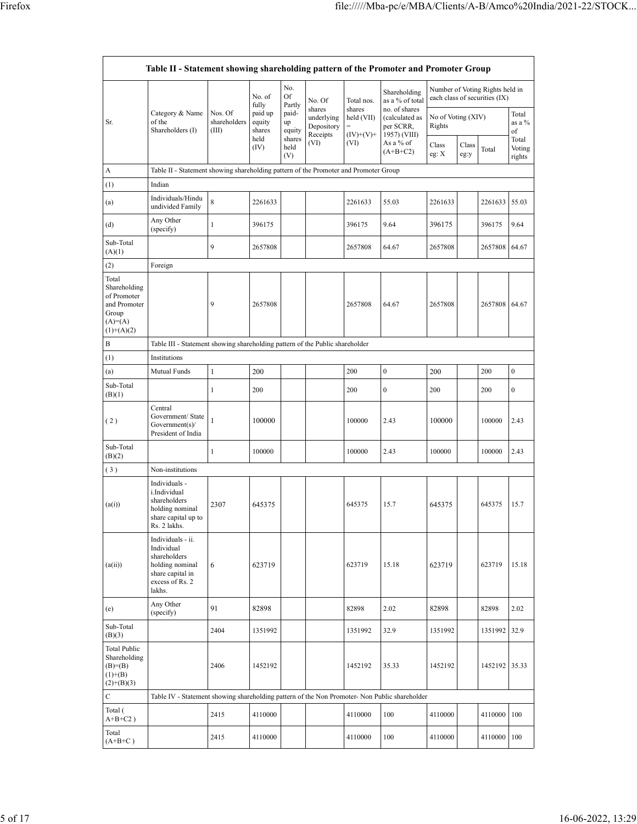|                                                                                           | Table II - Statement showing shareholding pattern of the Promoter and Promoter Group                                |                                  |                             |                       |                                                |                                     |                                                              |                              |               |                                                                  |                           |
|-------------------------------------------------------------------------------------------|---------------------------------------------------------------------------------------------------------------------|----------------------------------|-----------------------------|-----------------------|------------------------------------------------|-------------------------------------|--------------------------------------------------------------|------------------------------|---------------|------------------------------------------------------------------|---------------------------|
|                                                                                           |                                                                                                                     |                                  | No. of<br>fully             | No.<br>Of<br>Partly   | No. Of                                         | Total nos.                          | Shareholding<br>as a % of total                              |                              |               | Number of Voting Rights held in<br>each class of securities (IX) |                           |
| Sr.                                                                                       | Category & Name<br>of the<br>Shareholders (I)                                                                       | Nos. Of<br>shareholders<br>(III) | paid up<br>equity<br>shares | paid-<br>up<br>equity | shares<br>underlying<br>Depository<br>Receipts | shares<br>held (VII)<br>$(IV)+(V)+$ | no. of shares<br>(calculated as<br>per SCRR,<br>1957) (VIII) | No of Voting (XIV)<br>Rights |               |                                                                  | Total<br>as a %<br>of     |
|                                                                                           |                                                                                                                     |                                  | held<br>(IV)                | shares<br>held<br>(V) | (VI)                                           | (VI)                                | As a % of<br>$(A+B+C2)$                                      | Class<br>eg: X               | Class<br>eg:y | Total                                                            | Total<br>Voting<br>rights |
| A                                                                                         | Table II - Statement showing shareholding pattern of the Promoter and Promoter Group                                |                                  |                             |                       |                                                |                                     |                                                              |                              |               |                                                                  |                           |
| (1)                                                                                       | Indian                                                                                                              |                                  |                             |                       |                                                |                                     |                                                              |                              |               |                                                                  |                           |
| (a)                                                                                       | Individuals/Hindu<br>undivided Family                                                                               | 8                                | 2261633                     |                       |                                                | 2261633                             | 55.03                                                        | 2261633                      |               | 2261633                                                          | 55.03                     |
| (d)                                                                                       | Any Other<br>(specify)                                                                                              | 1                                | 396175                      |                       |                                                | 396175                              | 9.64                                                         | 396175                       |               | 396175                                                           | 9.64                      |
| Sub-Total<br>(A)(1)                                                                       |                                                                                                                     | 9                                | 2657808                     |                       |                                                | 2657808                             | 64.67                                                        | 2657808                      |               | 2657808                                                          | 64.67                     |
| (2)                                                                                       | Foreign                                                                                                             |                                  |                             |                       |                                                |                                     |                                                              |                              |               |                                                                  |                           |
| Total<br>Shareholding<br>of Promoter<br>and Promoter<br>Group<br>$(A)=A)$<br>$(1)+(A)(2)$ |                                                                                                                     | 9                                | 2657808                     |                       |                                                | 2657808                             | 64.67                                                        | 2657808                      |               | 2657808                                                          | 64.67                     |
| B                                                                                         | Table III - Statement showing shareholding pattern of the Public shareholder                                        |                                  |                             |                       |                                                |                                     |                                                              |                              |               |                                                                  |                           |
| (1)                                                                                       | Institutions                                                                                                        |                                  |                             |                       |                                                |                                     |                                                              |                              |               |                                                                  |                           |
| (a)                                                                                       | Mutual Funds                                                                                                        | $\,1$                            | 200                         |                       |                                                | 200                                 | $\boldsymbol{0}$                                             | 200                          |               | 200                                                              | $\boldsymbol{0}$          |
| Sub-Total<br>(B)(1)                                                                       |                                                                                                                     | 1                                | 200                         |                       |                                                | 200                                 | $\boldsymbol{0}$                                             | 200                          |               | 200                                                              | $\boldsymbol{0}$          |
| (2)                                                                                       | Central<br>Government/State<br>Government(s)<br>President of India                                                  | 1                                | 100000                      |                       |                                                | 100000                              | 2.43                                                         | 100000                       |               | 100000                                                           | 2.43                      |
| Sub-Total<br>(B)(2)                                                                       |                                                                                                                     | 1                                | 100000                      |                       |                                                | 100000                              | 2.43                                                         | 100000                       |               | 100000                                                           | 2.43                      |
| (3)                                                                                       | Non-institutions                                                                                                    |                                  |                             |                       |                                                |                                     |                                                              |                              |               |                                                                  |                           |
| (a(i))                                                                                    | Individuals -<br>i.Individual<br>shareholders<br>holding nominal<br>share capital up to<br>Rs. 2 lakhs.             | 2307                             | 645375                      |                       |                                                | 645375                              | 15.7                                                         | 645375                       |               | 645375                                                           | 15.7                      |
| (a(ii))                                                                                   | Individuals - ii.<br>Individual<br>shareholders<br>holding nominal<br>share capital in<br>excess of Rs. 2<br>lakhs. | 6                                | 623719                      |                       |                                                | 623719                              | 15.18                                                        | 623719                       |               | 623719                                                           | 15.18                     |
| (e)                                                                                       | Any Other<br>(specify)                                                                                              | 91                               | 82898                       |                       |                                                | 82898                               | 2.02                                                         | 82898                        |               | 82898                                                            | 2.02                      |
| Sub-Total<br>(B)(3)                                                                       |                                                                                                                     | 2404                             | 1351992                     |                       |                                                | 1351992                             | 32.9                                                         | 1351992                      |               | 1351992                                                          | 32.9                      |
| Total Public<br>Shareholding<br>$(B)=B)$<br>$(1)+(B)$<br>$(2)+(B)(3)$                     |                                                                                                                     | 2406                             | 1452192                     |                       |                                                | 1452192                             | 35.33                                                        | 1452192                      |               | 1452192 35.33                                                    |                           |
| С                                                                                         | Table IV - Statement showing shareholding pattern of the Non Promoter- Non Public shareholder                       |                                  |                             |                       |                                                |                                     |                                                              |                              |               |                                                                  |                           |
| Total (<br>$A+B+C2$ )                                                                     |                                                                                                                     | 2415                             | 4110000                     |                       |                                                | 4110000                             | 100                                                          | 4110000                      |               | 4110000                                                          | 100                       |
| Total<br>$(A+B+C)$                                                                        |                                                                                                                     | 2415                             | 4110000                     |                       |                                                | 4110000                             | 100                                                          | 4110000                      |               | 4110000 100                                                      |                           |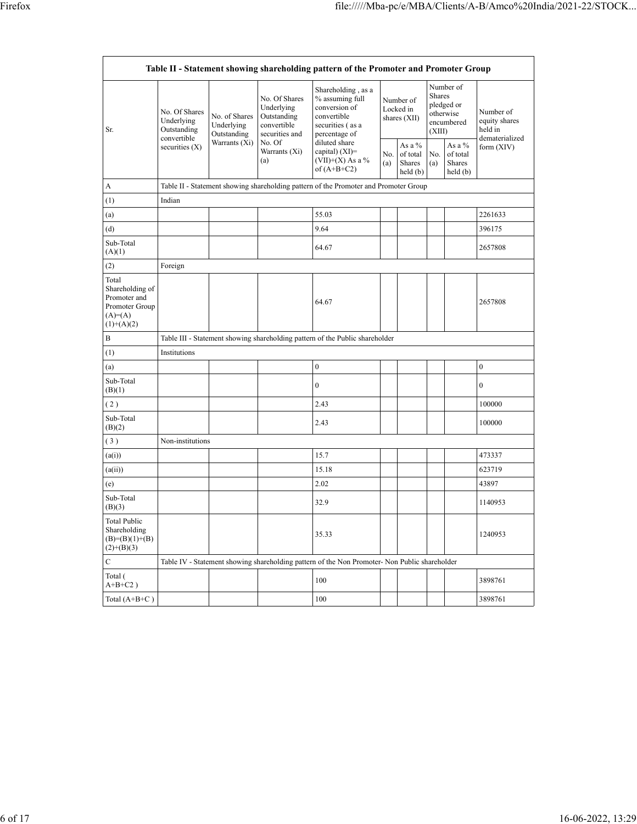| Table II - Statement showing shareholding pattern of the Promoter and Promoter Group   |                                                                               |                                                                |                                                                                                               |                                                                                                            |                                        |                                         |                                                                               |                                         |                                                         |
|----------------------------------------------------------------------------------------|-------------------------------------------------------------------------------|----------------------------------------------------------------|---------------------------------------------------------------------------------------------------------------|------------------------------------------------------------------------------------------------------------|----------------------------------------|-----------------------------------------|-------------------------------------------------------------------------------|-----------------------------------------|---------------------------------------------------------|
| Sr.                                                                                    | No. Of Shares<br>Underlying<br>Outstanding<br>convertible<br>securities $(X)$ | No. of Shares<br>Underlying<br>Outstanding<br>Warrants $(X_i)$ | No. Of Shares<br>Underlying<br>Outstanding<br>convertible<br>securities and<br>No. Of<br>Warrants (Xi)<br>(a) | Shareholding, as a<br>% assuming full<br>conversion of<br>convertible<br>securities (as a<br>percentage of | Number of<br>Locked in<br>shares (XII) |                                         | Number of<br><b>Shares</b><br>pledged or<br>otherwise<br>encumbered<br>(XIII) |                                         | Number of<br>equity shares<br>held in<br>dematerialized |
|                                                                                        |                                                                               |                                                                |                                                                                                               | diluted share<br>capital) $(XI)=$<br>$(VII)+(X)$ As a %<br>of $(A+B+C2)$                                   | No.<br>(a)                             | As a %<br>of total<br>Shares<br>held(b) | No.<br>(a)                                                                    | As a %<br>of total<br>Shares<br>held(b) | form (XIV)                                              |
| А                                                                                      |                                                                               |                                                                |                                                                                                               | Table II - Statement showing shareholding pattern of the Promoter and Promoter Group                       |                                        |                                         |                                                                               |                                         |                                                         |
| (1)                                                                                    | Indian                                                                        |                                                                |                                                                                                               |                                                                                                            |                                        |                                         |                                                                               |                                         |                                                         |
| (a)                                                                                    |                                                                               |                                                                |                                                                                                               | 55.03                                                                                                      |                                        |                                         |                                                                               |                                         | 2261633                                                 |
| (d)                                                                                    |                                                                               |                                                                |                                                                                                               | 9.64                                                                                                       |                                        |                                         |                                                                               |                                         | 396175                                                  |
| Sub-Total<br>(A)(1)                                                                    |                                                                               |                                                                |                                                                                                               | 64.67                                                                                                      |                                        |                                         |                                                                               |                                         | 2657808                                                 |
| (2)                                                                                    | Foreign                                                                       |                                                                |                                                                                                               |                                                                                                            |                                        |                                         |                                                                               |                                         |                                                         |
| Total<br>Shareholding of<br>Promoter and<br>Promoter Group<br>$(A)=A)$<br>$(1)+(A)(2)$ |                                                                               |                                                                |                                                                                                               | 64.67                                                                                                      |                                        |                                         |                                                                               |                                         | 2657808                                                 |
| В                                                                                      |                                                                               |                                                                |                                                                                                               | Table III - Statement showing shareholding pattern of the Public shareholder                               |                                        |                                         |                                                                               |                                         |                                                         |
| (1)                                                                                    | Institutions                                                                  |                                                                |                                                                                                               |                                                                                                            |                                        |                                         |                                                                               |                                         |                                                         |
| (a)                                                                                    |                                                                               |                                                                |                                                                                                               | $\boldsymbol{0}$                                                                                           |                                        |                                         |                                                                               |                                         | $\boldsymbol{0}$                                        |
| Sub-Total<br>(B)(1)                                                                    |                                                                               |                                                                |                                                                                                               | $\boldsymbol{0}$                                                                                           |                                        |                                         |                                                                               |                                         | $\boldsymbol{0}$                                        |
| (2)                                                                                    |                                                                               |                                                                |                                                                                                               | 2.43                                                                                                       |                                        |                                         |                                                                               |                                         | 100000                                                  |
| Sub-Total<br>(B)(2)                                                                    |                                                                               |                                                                |                                                                                                               | 2.43                                                                                                       |                                        |                                         |                                                                               |                                         | 100000                                                  |
| (3)                                                                                    | Non-institutions                                                              |                                                                |                                                                                                               |                                                                                                            |                                        |                                         |                                                                               |                                         |                                                         |
| (a(i))                                                                                 |                                                                               |                                                                |                                                                                                               | 15.7                                                                                                       |                                        |                                         |                                                                               |                                         | 473337                                                  |
| (a(ii))                                                                                |                                                                               |                                                                |                                                                                                               | 15.18                                                                                                      |                                        |                                         |                                                                               |                                         | 623719                                                  |
| (e)                                                                                    |                                                                               |                                                                |                                                                                                               | 2.02                                                                                                       |                                        |                                         |                                                                               |                                         | 43897                                                   |
| Sub-Total<br>(B)(3)                                                                    |                                                                               |                                                                |                                                                                                               | 32.9                                                                                                       |                                        |                                         |                                                                               |                                         | 1140953                                                 |
| <b>Total Public</b><br>Shareholding<br>$(B)=(B)(1)+(B)$<br>$(2)+(B)(3)$                |                                                                               |                                                                |                                                                                                               | 35.33                                                                                                      |                                        |                                         |                                                                               |                                         | 1240953                                                 |
| С                                                                                      |                                                                               |                                                                |                                                                                                               | Table IV - Statement showing shareholding pattern of the Non Promoter- Non Public shareholder              |                                        |                                         |                                                                               |                                         |                                                         |
| Total (<br>$A+B+C2$ )                                                                  |                                                                               |                                                                |                                                                                                               | 100                                                                                                        |                                        |                                         |                                                                               |                                         | 3898761                                                 |
| Total $(A+B+C)$                                                                        |                                                                               |                                                                |                                                                                                               | 100                                                                                                        |                                        |                                         |                                                                               |                                         | 3898761                                                 |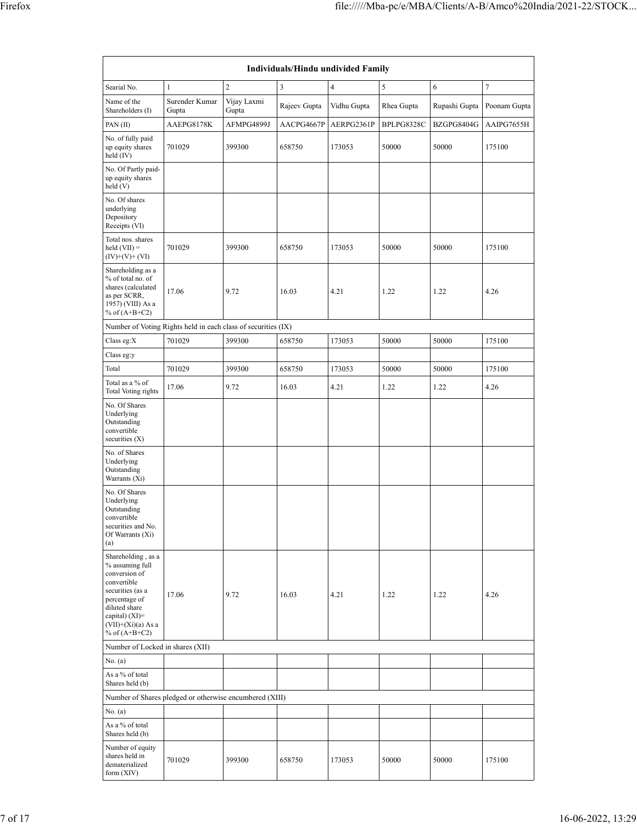| <b>Individuals/Hindu undivided Family</b>                                                                                                                                                   |                                                               |                      |              |                |            |               |              |  |  |
|---------------------------------------------------------------------------------------------------------------------------------------------------------------------------------------------|---------------------------------------------------------------|----------------------|--------------|----------------|------------|---------------|--------------|--|--|
| Searial No.                                                                                                                                                                                 | $\mathbf{1}$                                                  | $\overline{c}$       | 3            | $\overline{4}$ | 5          | 6             | 7            |  |  |
| Name of the<br>Shareholders (I)                                                                                                                                                             | Surender Kumar<br>Gupta                                       | Vijay Laxmi<br>Gupta | Rajeev Gupta | Vidhu Gupta    | Rhea Gupta | Rupashi Gupta | Poonam Gupta |  |  |
| PAN(II)                                                                                                                                                                                     | AAEPG8178K                                                    | AFMPG4899J           | AACPG4667P   | AERPG2361P     | BPLPG8328C | BZGPG8404G    | AAIPG7655H   |  |  |
| No. of fully paid<br>up equity shares<br>held (IV)                                                                                                                                          | 701029                                                        | 399300               | 658750       | 173053         | 50000      | 50000         | 175100       |  |  |
| No. Of Partly paid-<br>up equity shares<br>held (V)                                                                                                                                         |                                                               |                      |              |                |            |               |              |  |  |
| No. Of shares<br>underlying<br>Depository<br>Receipts (VI)                                                                                                                                  |                                                               |                      |              |                |            |               |              |  |  |
| Total nos. shares<br>$held (VII) =$<br>$(IV)+(V)+(VI)$                                                                                                                                      | 701029                                                        | 399300               | 658750       | 173053         | 50000      | 50000         | 175100       |  |  |
| Shareholding as a<br>% of total no. of<br>shares (calculated<br>as per SCRR,<br>1957) (VIII) As a<br>% of $(A+B+C2)$                                                                        | 17.06                                                         | 9.72                 | 16.03        | 4.21           | 1.22       | 1.22          | 4.26         |  |  |
|                                                                                                                                                                                             | Number of Voting Rights held in each class of securities (IX) |                      |              |                |            |               |              |  |  |
| Class eg:X                                                                                                                                                                                  | 701029                                                        | 399300               | 658750       | 173053         | 50000      | 50000         | 175100       |  |  |
| Class eg:y<br>Total                                                                                                                                                                         | 701029                                                        | 399300               | 658750       |                | 50000      | 50000         | 175100       |  |  |
| Total as a % of                                                                                                                                                                             |                                                               |                      |              | 173053         |            |               |              |  |  |
| Total Voting rights                                                                                                                                                                         | 17.06                                                         | 9.72                 | 16.03        | 4.21           | 1.22       | 1.22          | 4.26         |  |  |
| No. Of Shares<br>Underlying<br>Outstanding<br>convertible<br>securities (X)<br>No. of Shares<br>Underlying<br>Outstanding                                                                   |                                                               |                      |              |                |            |               |              |  |  |
| Warrants (Xi)<br>No. Of Shares<br>Underlying<br>Outstanding<br>convertible<br>securities and No.<br>Of Warrants (Xi)<br>(a)                                                                 |                                                               |                      |              |                |            |               |              |  |  |
| Shareholding, as a<br>% assuming full<br>conversion of<br>convertible<br>securities (as a<br>percentage of<br>diluted share<br>capital) $(XI)$ =<br>$(VII)+(Xi)(a)$ As a<br>% of $(A+B+C2)$ | 17.06                                                         | 9.72                 | 16.03        | 4.21           | 1.22       | 1.22          | 4.26         |  |  |
| Number of Locked in shares (XII)                                                                                                                                                            |                                                               |                      |              |                |            |               |              |  |  |
| No. (a)                                                                                                                                                                                     |                                                               |                      |              |                |            |               |              |  |  |
| As a % of total<br>Shares held (b)                                                                                                                                                          |                                                               |                      |              |                |            |               |              |  |  |
|                                                                                                                                                                                             | Number of Shares pledged or otherwise encumbered (XIII)       |                      |              |                |            |               |              |  |  |
| No. (a)<br>As a % of total<br>Shares held (b)                                                                                                                                               |                                                               |                      |              |                |            |               |              |  |  |
| Number of equity<br>shares held in<br>dematerialized<br>form (XIV)                                                                                                                          | 701029                                                        | 399300               | 658750       | 173053         | 50000      | 50000         | 175100       |  |  |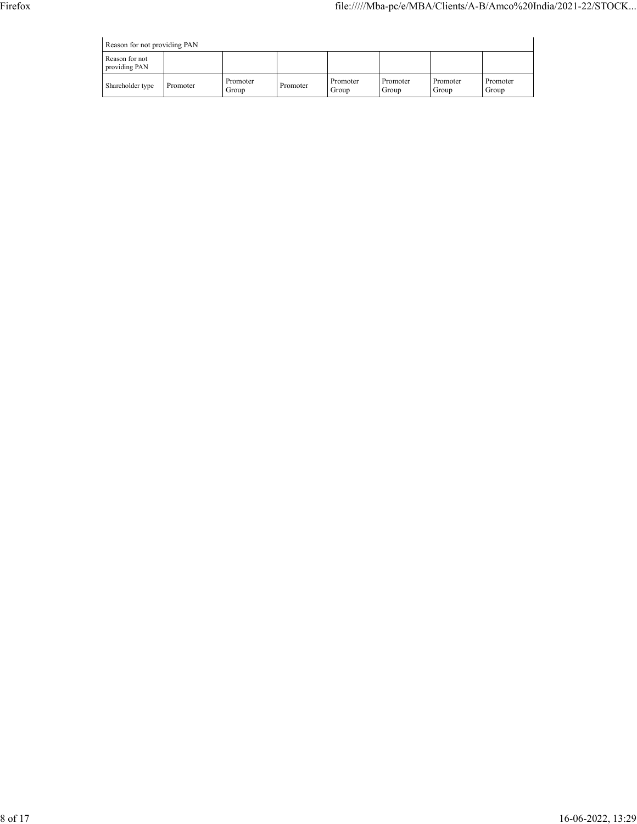|  | Reason for not providing PAN |  |
|--|------------------------------|--|

| Reason for not providing PAN    |          |                   |          |                   |                   |                   |                   |  |  |
|---------------------------------|----------|-------------------|----------|-------------------|-------------------|-------------------|-------------------|--|--|
| Reason for not<br>providing PAN |          |                   |          |                   |                   |                   |                   |  |  |
| Shareholder type                | Promoter | Promoter<br>Group | Promoter | Promoter<br>Group | Promoter<br>Group | Promoter<br>Group | Promoter<br>Group |  |  |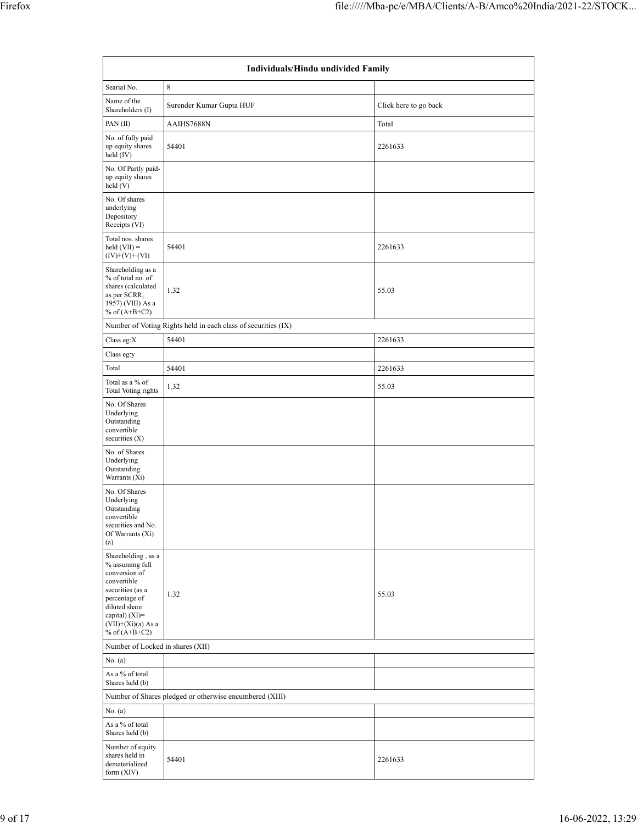| Individuals/Hindu undivided Family                                                                                                                                                          |                                                               |                       |  |  |  |  |  |  |
|---------------------------------------------------------------------------------------------------------------------------------------------------------------------------------------------|---------------------------------------------------------------|-----------------------|--|--|--|--|--|--|
| Searial No.                                                                                                                                                                                 | 8                                                             |                       |  |  |  |  |  |  |
| Name of the<br>Shareholders (I)                                                                                                                                                             | Surender Kumar Gupta HUF                                      | Click here to go back |  |  |  |  |  |  |
| PAN(II)                                                                                                                                                                                     | AAIHS7688N                                                    | Total                 |  |  |  |  |  |  |
| No. of fully paid<br>up equity shares<br>held (IV)                                                                                                                                          | 54401                                                         | 2261633               |  |  |  |  |  |  |
| No. Of Partly paid-<br>up equity shares<br>held(V)                                                                                                                                          |                                                               |                       |  |  |  |  |  |  |
| No. Of shares<br>underlying<br>Depository<br>Receipts (VI)                                                                                                                                  |                                                               |                       |  |  |  |  |  |  |
| Total nos. shares<br>held $(VII) =$<br>$(IV)+(V)+(VI)$                                                                                                                                      | 54401                                                         | 2261633               |  |  |  |  |  |  |
| Shareholding as a<br>% of total no. of<br>shares (calculated<br>as per SCRR,<br>1957) (VIII) As a<br>% of $(A+B+C2)$                                                                        | 1.32                                                          | 55.03                 |  |  |  |  |  |  |
|                                                                                                                                                                                             | Number of Voting Rights held in each class of securities (IX) |                       |  |  |  |  |  |  |
| Class eg: $X$                                                                                                                                                                               | 54401                                                         | 2261633               |  |  |  |  |  |  |
| Class eg:y                                                                                                                                                                                  |                                                               |                       |  |  |  |  |  |  |
| Total                                                                                                                                                                                       | 54401                                                         | 2261633               |  |  |  |  |  |  |
| Total as a % of<br>Total Voting rights                                                                                                                                                      | 1.32                                                          | 55.03                 |  |  |  |  |  |  |
| No. Of Shares<br>Underlying<br>Outstanding<br>convertible<br>securities (X)                                                                                                                 |                                                               |                       |  |  |  |  |  |  |
| No. of Shares<br>Underlying<br>Outstanding<br>Warrants (Xi)                                                                                                                                 |                                                               |                       |  |  |  |  |  |  |
| No. Of Shares<br>Underlying<br>Outstanding<br>convertible<br>securities and No.<br>Of Warrants (Xi)<br>(a)                                                                                  |                                                               |                       |  |  |  |  |  |  |
| Shareholding, as a<br>% assuming full<br>conversion of<br>convertible<br>securities (as a<br>percentage of<br>diluted share<br>capital) $(XI)$ =<br>$(VII)+(Xi)(a)$ As a<br>% of $(A+B+C2)$ | 1.32                                                          | 55.03                 |  |  |  |  |  |  |
| Number of Locked in shares (XII)                                                                                                                                                            |                                                               |                       |  |  |  |  |  |  |
| No. (a)                                                                                                                                                                                     |                                                               |                       |  |  |  |  |  |  |
| As a % of total<br>Shares held (b)                                                                                                                                                          |                                                               |                       |  |  |  |  |  |  |
|                                                                                                                                                                                             | Number of Shares pledged or otherwise encumbered (XIII)       |                       |  |  |  |  |  |  |
| No. (a)<br>As a % of total<br>Shares held (b)                                                                                                                                               |                                                               |                       |  |  |  |  |  |  |
| Number of equity<br>shares held in<br>dematerialized<br>form (XIV)                                                                                                                          | 54401                                                         | 2261633               |  |  |  |  |  |  |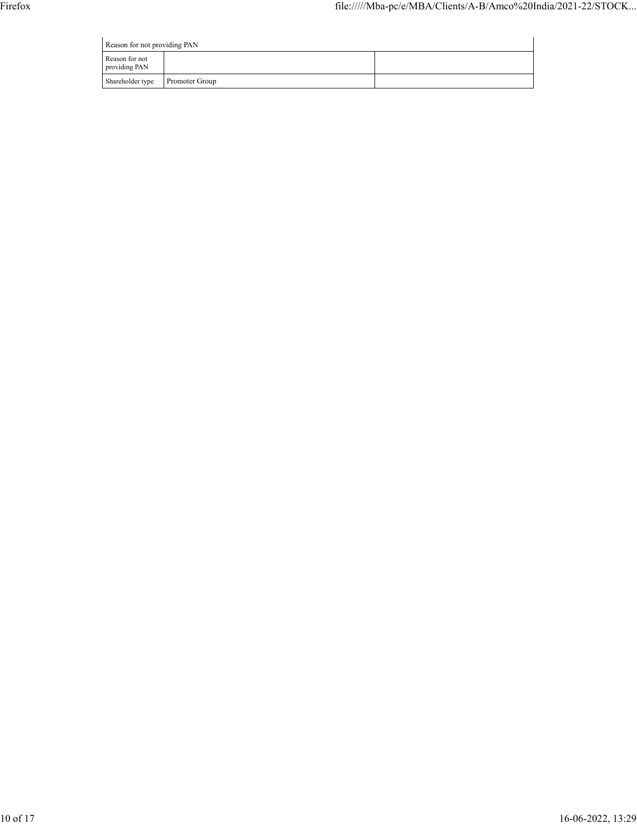| Reason for not providing PAN    |                |  |  |  |  |  |  |
|---------------------------------|----------------|--|--|--|--|--|--|
| Reason for not<br>providing PAN |                |  |  |  |  |  |  |
| Shareholder type                | Promoter Group |  |  |  |  |  |  |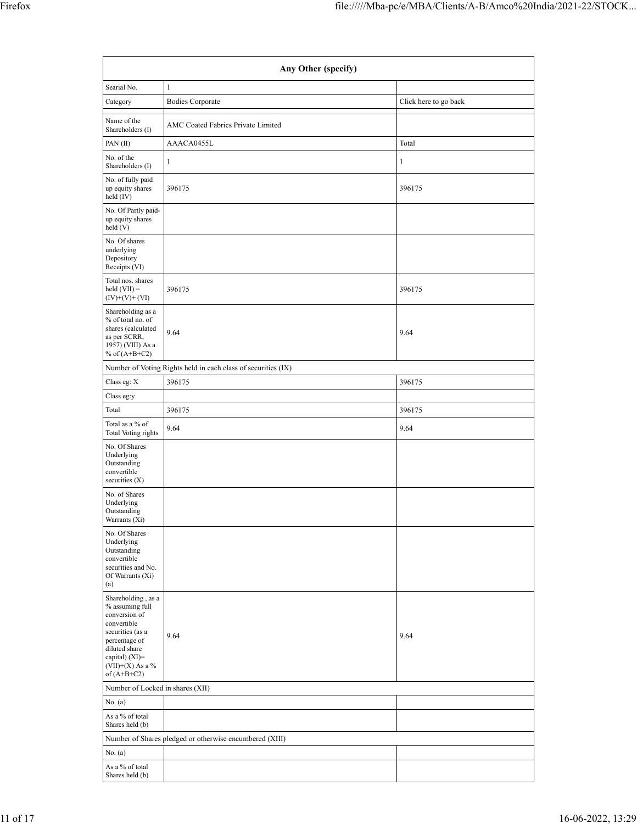| Any Other (specify)                                                                                                                                                                  |                                                               |                       |  |  |  |  |  |  |
|--------------------------------------------------------------------------------------------------------------------------------------------------------------------------------------|---------------------------------------------------------------|-----------------------|--|--|--|--|--|--|
| Searial No.                                                                                                                                                                          | $\mathbf{1}$                                                  |                       |  |  |  |  |  |  |
| Category                                                                                                                                                                             | <b>Bodies Corporate</b>                                       | Click here to go back |  |  |  |  |  |  |
| Name of the<br>Shareholders (I)                                                                                                                                                      | AMC Coated Fabrics Private Limited                            |                       |  |  |  |  |  |  |
| PAN (II)                                                                                                                                                                             | AAACA0455L                                                    | Total                 |  |  |  |  |  |  |
| No. of the<br>Shareholders (I)                                                                                                                                                       | 1                                                             | 1                     |  |  |  |  |  |  |
| No. of fully paid<br>up equity shares<br>held (IV)                                                                                                                                   | 396175                                                        | 396175                |  |  |  |  |  |  |
| No. Of Partly paid-<br>up equity shares<br>held (V)                                                                                                                                  |                                                               |                       |  |  |  |  |  |  |
| No. Of shares<br>underlying<br>Depository<br>Receipts (VI)                                                                                                                           |                                                               |                       |  |  |  |  |  |  |
| Total nos. shares<br>$\text{held (VII)} =$<br>$(IV)+(V)+(VI)$                                                                                                                        | 396175                                                        | 396175                |  |  |  |  |  |  |
| Shareholding as a<br>% of total no. of<br>shares (calculated<br>as per SCRR,<br>1957) (VIII) As a<br>% of $(A+B+C2)$                                                                 | 9.64                                                          | 9.64                  |  |  |  |  |  |  |
|                                                                                                                                                                                      | Number of Voting Rights held in each class of securities (IX) |                       |  |  |  |  |  |  |
| Class eg: $\mathbf X$                                                                                                                                                                | 396175                                                        | 396175                |  |  |  |  |  |  |
| Class eg:y                                                                                                                                                                           |                                                               |                       |  |  |  |  |  |  |
| Total                                                                                                                                                                                | 396175                                                        | 396175                |  |  |  |  |  |  |
| Total as a % of<br>Total Voting rights                                                                                                                                               | 9.64                                                          | 9.64                  |  |  |  |  |  |  |
| No. Of Shares<br>Underlying<br>Outstanding<br>convertible<br>securities (X)                                                                                                          |                                                               |                       |  |  |  |  |  |  |
| No. of Shares<br>Underlying<br>Outstanding<br>Warrants (Xi)                                                                                                                          |                                                               |                       |  |  |  |  |  |  |
| No. Of Shares<br>Underlying<br>Outstanding<br>convertible<br>securities and No.<br>Of Warrants (Xi)<br>(a)                                                                           |                                                               |                       |  |  |  |  |  |  |
| Shareholding, as a<br>% assuming full<br>conversion of<br>convertible<br>securities (as a<br>percentage of<br>diluted share<br>capital) (XI)=<br>$(VII)+(X)$ As a %<br>of $(A+B+C2)$ | 9.64                                                          | 9.64                  |  |  |  |  |  |  |
| Number of Locked in shares (XII)                                                                                                                                                     |                                                               |                       |  |  |  |  |  |  |
| No. (a)                                                                                                                                                                              |                                                               |                       |  |  |  |  |  |  |
| As a % of total<br>Shares held (b)                                                                                                                                                   |                                                               |                       |  |  |  |  |  |  |
|                                                                                                                                                                                      | Number of Shares pledged or otherwise encumbered (XIII)       |                       |  |  |  |  |  |  |
| No. (a)                                                                                                                                                                              |                                                               |                       |  |  |  |  |  |  |
| As a % of total<br>Shares held (b)                                                                                                                                                   |                                                               |                       |  |  |  |  |  |  |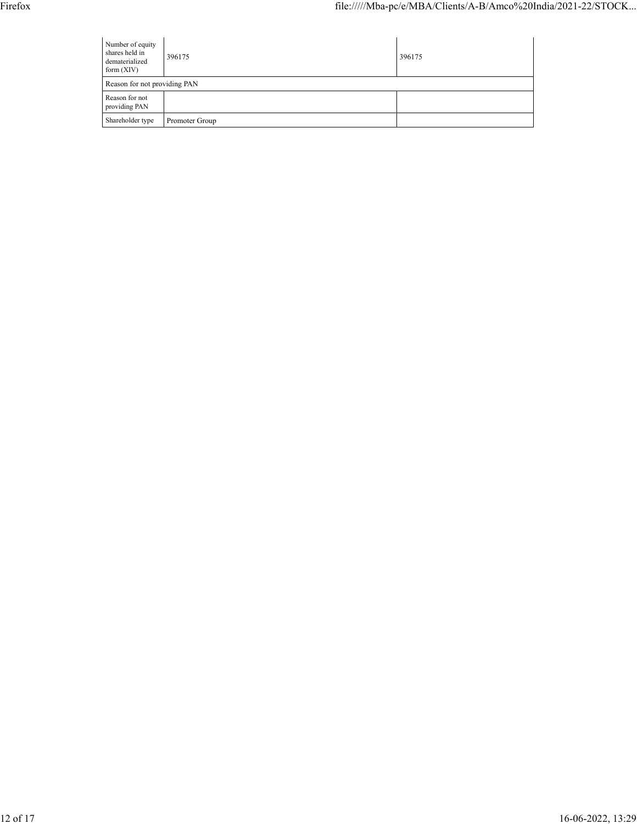| Number of equity<br>shares held in<br>dematerialized<br>form $(XIV)$ | 396175         | 396175 |
|----------------------------------------------------------------------|----------------|--------|
| Reason for not providing PAN                                         |                |        |
| Reason for not<br>providing PAN                                      |                |        |
| Shareholder type                                                     | Promoter Group |        |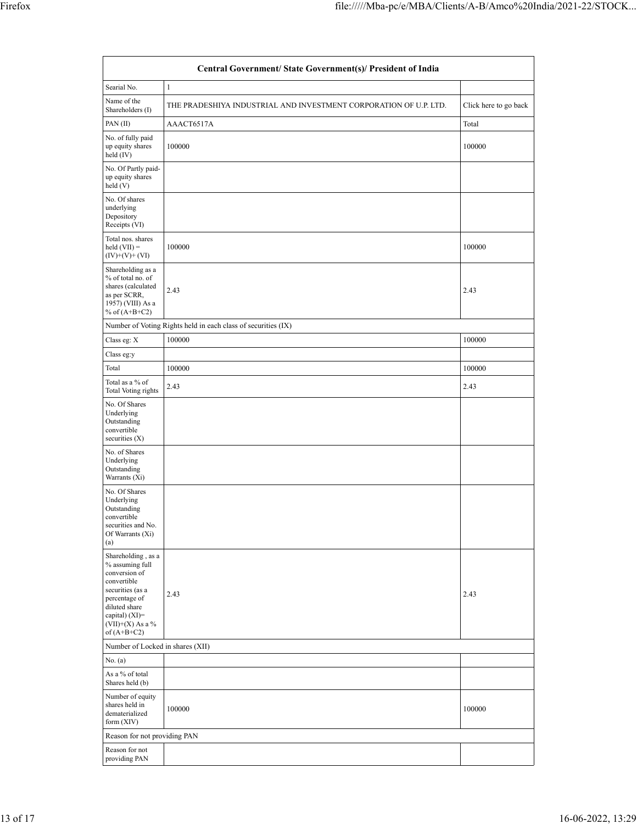|                                                                                                                                                                                      | Central Government/ State Government(s)/ President of India       |                       |
|--------------------------------------------------------------------------------------------------------------------------------------------------------------------------------------|-------------------------------------------------------------------|-----------------------|
| Searial No.                                                                                                                                                                          | 1                                                                 |                       |
| Name of the<br>Shareholders (I)                                                                                                                                                      | THE PRADESHIYA INDUSTRIAL AND INVESTMENT CORPORATION OF U.P. LTD. | Click here to go back |
| PAN(II)                                                                                                                                                                              | AAACT6517A                                                        | Total                 |
| No. of fully paid<br>up equity shares<br>held (IV)                                                                                                                                   | 100000                                                            | 100000                |
| No. Of Partly paid-<br>up equity shares<br>held (V)                                                                                                                                  |                                                                   |                       |
| No. Of shares<br>underlying<br>Depository<br>Receipts (VI)                                                                                                                           |                                                                   |                       |
| Total nos. shares<br>$\text{held (VII)} =$<br>$(IV)+(V)+(VI)$                                                                                                                        | 100000                                                            | 100000                |
| Shareholding as a<br>% of total no. of<br>shares (calculated<br>as per SCRR,<br>1957) (VIII) As a<br>% of $(A+B+C2)$                                                                 | 2.43                                                              | 2.43                  |
|                                                                                                                                                                                      | Number of Voting Rights held in each class of securities (IX)     |                       |
| Class eg: X<br>Class eg:y                                                                                                                                                            | 100000                                                            | 100000                |
| Total                                                                                                                                                                                | 100000                                                            | 100000                |
| Total as a % of<br>Total Voting rights                                                                                                                                               | 2.43                                                              | 2.43                  |
| No. Of Shares<br>Underlying<br>Outstanding<br>convertible<br>securities $(X)$                                                                                                        |                                                                   |                       |
| No. of Shares<br>Underlying<br>Outstanding<br>Warrants (Xi)                                                                                                                          |                                                                   |                       |
| No. Of Shares<br>Underlying<br>Outstanding<br>convertible<br>securities and No.<br>Of Warrants (Xi)<br>(a)                                                                           |                                                                   |                       |
| Shareholding, as a<br>% assuming full<br>conversion of<br>convertible<br>securities (as a<br>percentage of<br>diluted share<br>capital) (XI)=<br>$(VII)+(X)$ As a %<br>of $(A+B+C2)$ | 2.43                                                              | 2.43                  |
| Number of Locked in shares (XII)                                                                                                                                                     |                                                                   |                       |
| No. (a)                                                                                                                                                                              |                                                                   |                       |
| As a % of total<br>Shares held (b)                                                                                                                                                   |                                                                   |                       |
| Number of equity<br>shares held in<br>dematerialized<br>form $(XIV)$                                                                                                                 | 100000                                                            | 100000                |
| Reason for not providing PAN                                                                                                                                                         |                                                                   |                       |
| Reason for not<br>providing PAN                                                                                                                                                      |                                                                   |                       |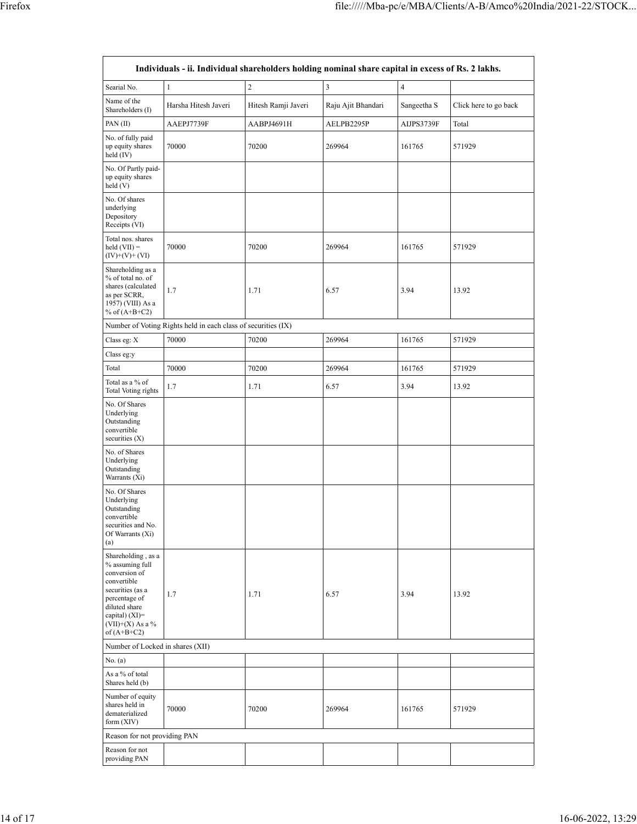|                                                                                                                                                                                      | Individuals - ii. Individual shareholders holding nominal share capital in excess of Rs. 2 lakhs. |                     |                         |                |                       |  |
|--------------------------------------------------------------------------------------------------------------------------------------------------------------------------------------|---------------------------------------------------------------------------------------------------|---------------------|-------------------------|----------------|-----------------------|--|
| Searial No.                                                                                                                                                                          | $\mathbf{1}$                                                                                      | $\overline{c}$      | $\overline{\mathbf{3}}$ | $\overline{4}$ |                       |  |
| Name of the<br>Shareholders (I)                                                                                                                                                      | Harsha Hitesh Javeri                                                                              | Hitesh Ramji Javeri | Raju Ajit Bhandari      | Sangeetha S    | Click here to go back |  |
| PAN(II)                                                                                                                                                                              | AAEPJ7739F                                                                                        | AABPJ4691H          | AELPB2295P              | AIJPS3739F     | Total                 |  |
| No. of fully paid<br>up equity shares<br>70000<br>held (IV)                                                                                                                          |                                                                                                   | 70200               | 269964                  | 161765         | 571929                |  |
| No. Of Partly paid-<br>up equity shares<br>held (V)                                                                                                                                  |                                                                                                   |                     |                         |                |                       |  |
| No. Of shares<br>underlying<br>Depository<br>Receipts (VI)                                                                                                                           |                                                                                                   |                     |                         |                |                       |  |
| Total nos. shares<br>$\text{held (VII)} =$<br>$(IV)+(V)+(VI)$                                                                                                                        | 70000                                                                                             | 70200               | 269964                  | 161765         | 571929                |  |
| Shareholding as a<br>% of total no. of<br>shares (calculated<br>as per SCRR,<br>1957) (VIII) As a<br>% of $(A+B+C2)$                                                                 | 1.7                                                                                               | 1.71                | 6.57                    | 13.92          |                       |  |
|                                                                                                                                                                                      | Number of Voting Rights held in each class of securities (IX)                                     |                     |                         |                |                       |  |
| Class eg: X                                                                                                                                                                          | 70000                                                                                             | 70200               | 269964                  | 161765         | 571929                |  |
| Class eg:y                                                                                                                                                                           |                                                                                                   |                     |                         |                |                       |  |
| Total                                                                                                                                                                                | 70000                                                                                             | 70200               | 269964                  | 161765         | 571929                |  |
| Total as a % of<br>Total Voting rights                                                                                                                                               | 1.7                                                                                               | 1.71                | 6.57                    | 3.94           | 13.92                 |  |
| No. Of Shares<br>Underlying<br>Outstanding<br>convertible<br>securities $(X)$<br>No. of Shares<br>Underlying<br>Outstanding                                                          |                                                                                                   |                     |                         |                |                       |  |
| Warrants (Xi)<br>No. Of Shares<br>Underlying<br>Outstanding<br>convertible<br>securities and No.<br>Of Warrants (Xi)<br>(a)                                                          |                                                                                                   |                     |                         |                |                       |  |
| Shareholding, as a<br>% assuming full<br>conversion of<br>convertible<br>securities (as a<br>percentage of<br>diluted share<br>capital) (XI)=<br>$(VII)+(X)$ As a %<br>of $(A+B+C2)$ | 1.7                                                                                               | 1.71                | 6.57                    | 3.94           | 13.92                 |  |
| Number of Locked in shares (XII)                                                                                                                                                     |                                                                                                   |                     |                         |                |                       |  |
| No. (a)                                                                                                                                                                              |                                                                                                   |                     |                         |                |                       |  |
| As a % of total<br>Shares held (b)                                                                                                                                                   |                                                                                                   |                     |                         |                |                       |  |
| Number of equity<br>shares held in<br>dematerialized<br>form $(XIV)$                                                                                                                 | 70000                                                                                             | 70200               | 269964                  | 161765         | 571929                |  |
| Reason for not providing PAN                                                                                                                                                         |                                                                                                   |                     |                         |                |                       |  |
| Reason for not<br>providing PAN                                                                                                                                                      |                                                                                                   |                     |                         |                |                       |  |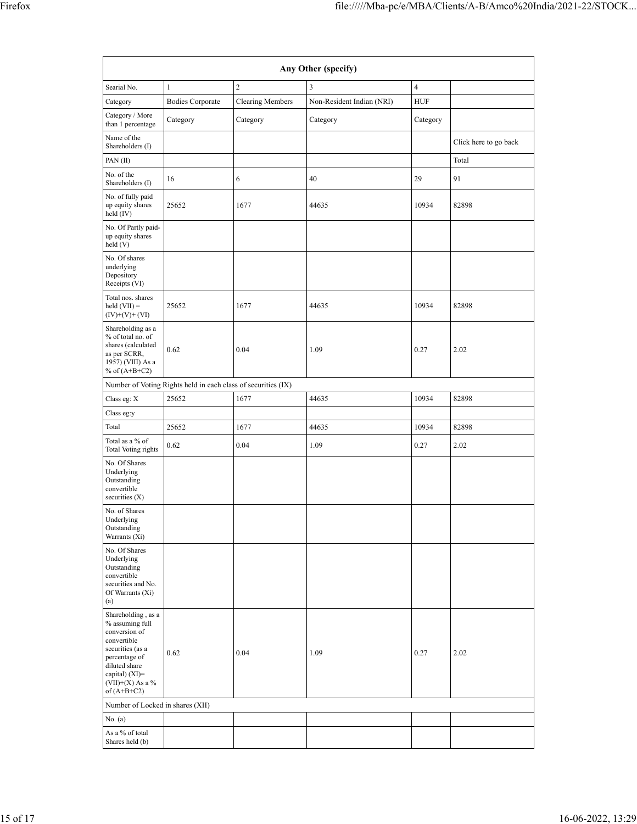|                                                                                                                                                                                      | Any Other (specify)                                           |                         |                           |                |                       |  |  |  |  |  |  |
|--------------------------------------------------------------------------------------------------------------------------------------------------------------------------------------|---------------------------------------------------------------|-------------------------|---------------------------|----------------|-----------------------|--|--|--|--|--|--|
| Searial No.                                                                                                                                                                          | $\mathbf{1}$                                                  | $\overline{c}$          | 3                         | $\overline{4}$ |                       |  |  |  |  |  |  |
| Category                                                                                                                                                                             | <b>Bodies Corporate</b>                                       | <b>Clearing Members</b> | Non-Resident Indian (NRI) | HUF            |                       |  |  |  |  |  |  |
| Category / More<br>than 1 percentage                                                                                                                                                 | Category                                                      | Category                | Category                  | Category       |                       |  |  |  |  |  |  |
| Name of the<br>Shareholders (I)                                                                                                                                                      |                                                               |                         |                           |                | Click here to go back |  |  |  |  |  |  |
| PAN (II)                                                                                                                                                                             |                                                               |                         |                           |                | Total                 |  |  |  |  |  |  |
| No. of the<br>Shareholders (I)                                                                                                                                                       | 16                                                            | 6                       | 40                        | 29             | 91                    |  |  |  |  |  |  |
| No. of fully paid<br>up equity shares<br>held (IV)                                                                                                                                   | 25652                                                         | 1677                    | 44635                     | 10934          | 82898                 |  |  |  |  |  |  |
| No. Of Partly paid-<br>up equity shares<br>held (V)                                                                                                                                  |                                                               |                         |                           |                |                       |  |  |  |  |  |  |
| No. Of shares<br>underlying<br>Depository<br>Receipts (VI)                                                                                                                           |                                                               |                         |                           |                |                       |  |  |  |  |  |  |
| Total nos. shares<br>$held (VII) =$<br>$(IV)+(V)+(VI)$                                                                                                                               | 25652                                                         | 1677                    | 44635                     | 10934          | 82898                 |  |  |  |  |  |  |
| Shareholding as a<br>% of total no. of<br>shares (calculated<br>as per SCRR,<br>1957) (VIII) As a<br>% of $(A+B+C2)$                                                                 | 0.62                                                          | 0.04                    | 1.09                      | 0.27           | 2.02                  |  |  |  |  |  |  |
|                                                                                                                                                                                      | Number of Voting Rights held in each class of securities (IX) |                         |                           |                |                       |  |  |  |  |  |  |
| Class eg: $X$<br>Class eg:y                                                                                                                                                          | 25652                                                         | 1677                    | 44635                     | 10934          | 82898                 |  |  |  |  |  |  |
| Total                                                                                                                                                                                | 25652                                                         | 1677                    | 44635                     | 10934          | 82898                 |  |  |  |  |  |  |
| Total as a % of<br>Total Voting rights                                                                                                                                               | 0.62                                                          | 0.04                    | 1.09                      | 0.27           | 2.02                  |  |  |  |  |  |  |
| No. Of Shares<br>Underlying<br>Outstanding<br>convertible<br>securities $(X)$                                                                                                        |                                                               |                         |                           |                |                       |  |  |  |  |  |  |
| No. of Shares<br>Underlying<br>Outstanding<br>Warrants (Xi)                                                                                                                          |                                                               |                         |                           |                |                       |  |  |  |  |  |  |
| No. Of Shares<br>Underlying<br>Outstanding<br>convertible<br>securities and No.<br>Of Warrants (Xi)<br>(a)                                                                           |                                                               |                         |                           |                |                       |  |  |  |  |  |  |
| Shareholding, as a<br>% assuming full<br>conversion of<br>convertible<br>securities (as a<br>percentage of<br>diluted share<br>capital) (XI)=<br>$(VII)+(X)$ As a %<br>of $(A+B+C2)$ | 0.62                                                          | 0.04                    | 1.09                      | 0.27           | 2.02                  |  |  |  |  |  |  |
| Number of Locked in shares (XII)                                                                                                                                                     |                                                               |                         |                           |                |                       |  |  |  |  |  |  |
| No. (a)                                                                                                                                                                              |                                                               |                         |                           |                |                       |  |  |  |  |  |  |
| As a % of total<br>Shares held (b)                                                                                                                                                   |                                                               |                         |                           |                |                       |  |  |  |  |  |  |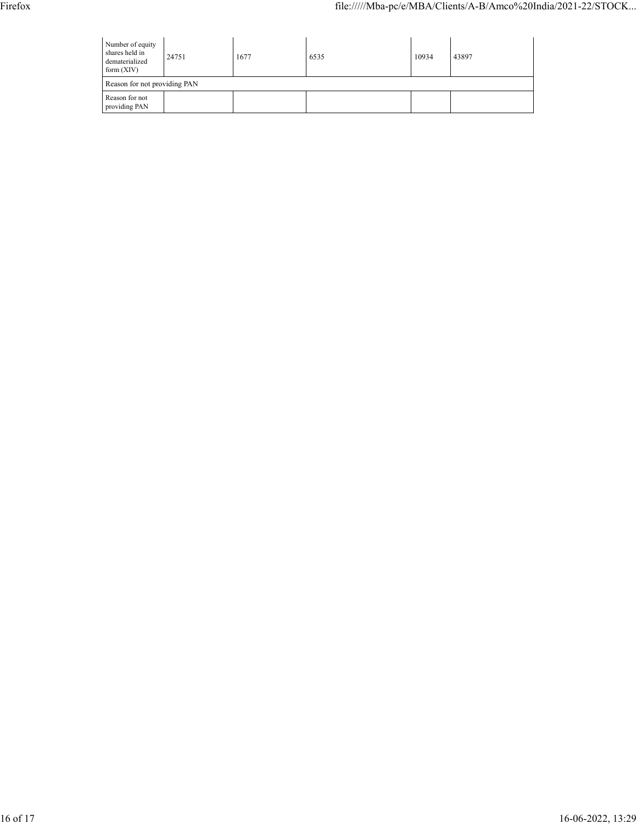| Number of equity<br>shares held in<br>24751<br>dematerialized<br>form $(XIV)$ |  | 1677 | 6535 | 10934 | 43897 |  |
|-------------------------------------------------------------------------------|--|------|------|-------|-------|--|
| Reason for not providing PAN                                                  |  |      |      |       |       |  |
| Reason for not<br>providing PAN                                               |  |      |      |       |       |  |